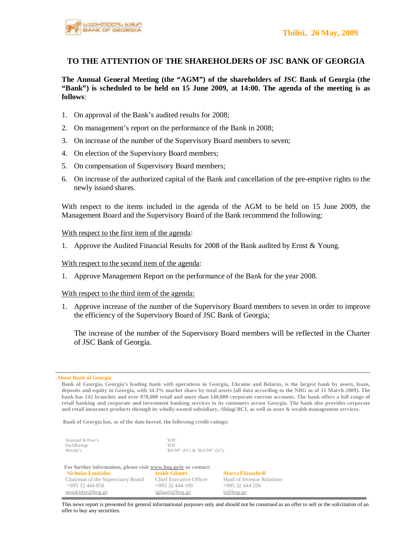

# **TO THE ATTENTION OF THE SHAREHOLDERS OF JSC BANK OF GEORGIA**

**The Annual General Meeting (the "AGM") of the shareholders of JSC Bank of Georgia (the "Bank") is scheduled to be held on 15 June 2009, at 14:00. The agenda of the meeting is as follows**:

- 1. On approval of the Bank's audited results for 2008;
- 2. On management's report on the performance of the Bank in 2008;
- 3. On increase of the number of the Supervisory Board members to seven;
- 4. On election of the Supervisory Board members;
- 5. On compensation of Supervisory Board members;
- 6. On increase of the authorized capital of the Bank and cancellation of the pre-emptive rights to the newly issued shares.

With respect to the items included in the agenda of the AGM to be held on 15 June 2009, the Management Board and the Supervisory Board of the Bank recommend the following:

## With respect to the first item of the agenda:

1. Approve the Audited Financial Results for 2008 of the Bank audited by Ernst & Young.

### With respect to the second item of the agenda:

1. Approve Management Report on the performance of the Bank for the year 2008.

## With respect to the third item of the agenda:

1. Approve increase of the number of the Supervisory Board members to seven in order to improve the efficiency of the Supervisory Board of JSC Bank of Georgia;

The increase of the number of the Supervisory Board members will be reflected in the Charter of JSC Bank of Georgia.

#### **About Bank of Georgia**

Bank of Georgia, Georgia's leading bank with operations in Georgia, Ukraine and Belarus, is the largest bank by assets, loans, deposits and equity in Georgia, with 34.3% market share by total assets (all data according to the NBG as of 31 March 2009). The bank has 142 branches and over 878,000 retail and more than 140,000 corporate current accounts. The bank offers a full range of retail banking and corporate and investment banking services to its customers across Georgia. The bank also provides corporate and retail insurance products through its wholly-owned subsidiary, Aldagi BCI, as well as asset & wealth management services.

**Bank of Georgia has, as of the date hereof, the following credit ratings:** 

| Standard & Poor's | R/R                           |
|-------------------|-------------------------------|
| FitchRatings      | 'R/R'                         |
| Moody's           | 'B3/NP' (FC) & 'Ba3/NP' (LC), |

| For further information, please visit www.bog.ge/ir or contact: |                         |                            |
|-----------------------------------------------------------------|-------------------------|----------------------------|
| <b>Nicholas Enukidze</b>                                        | Irakli Gilauri          | Macca Ekizashvili          |
| Chairman of the Supervisory Board                               | Chief Executive Officer | Head of Investor Relations |
| +995 32 444 858                                                 | $+99532444109$          | $+99532444256$             |
| nenukidze@bog.ge                                                | igilauri@bog.ge         | ir@bog.ge                  |

This news report is presented for general informational purposes only and should not be construed as an offer to sell or the solicitation of an offer to buy any securities.